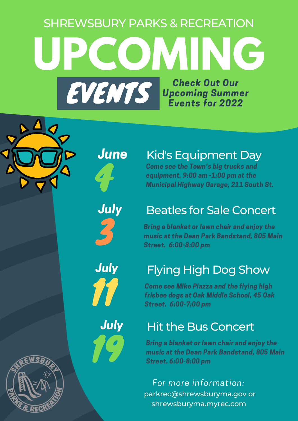# **UPCOMING** EVENTS Check Out Our Upcoming Summer Events for 2022 SHREWSBURY PARKS & RECREATION

June

4

July

### Kid's Equipment Day

Come see the Town's big trucks and equipment. 9:00 am -1:00 pm at the Municipal Highway Garage, 211 South St.

### Beatles for Sale Concert

Bring a blanket or lawn chair and enjoy the<br>music at the Dean Park Bandstand, 805 Main<br>Street. 6:00-8:00 pm

# **July** Flying High Dog Show

Come see Mike Piazza and the flying high **for Come see Mike Piazza and the flying high<br>frisbee dogs at Oak Middle School, 45 Oak<br>Street. 6:00-7:00 pm** 

## **July** Hit the Bus Concert

Bring a blanket or lawn chair and enjoy the music at the Dean Park Bandstand, 805 Main<br>Street. 6:00-8:00 pm

parkrec@shrewsburyma.gov or shrewsburyma.myrec.com For more information: